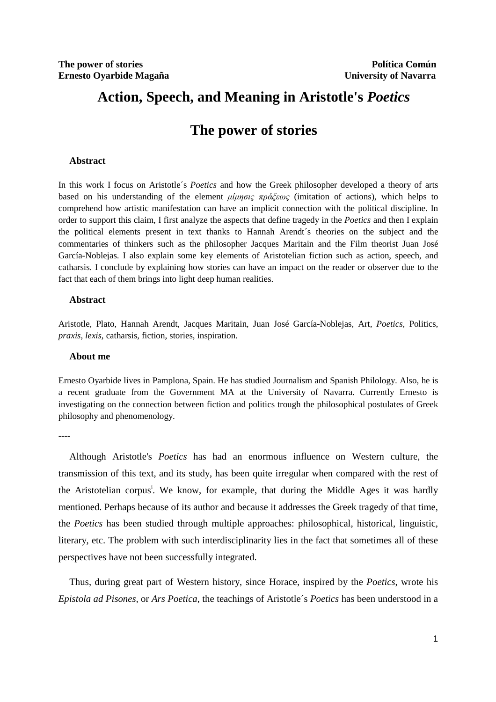# **Action, Speech, and Meaning in Aristotle's** *Poetics*

# **The power of stories**

#### **Abstract**

In this work I focus on Aristotle´s *Poetics* and how the Greek philosopher developed a theory of arts based on his understanding of the element  $\mu\mu$   $\mu\sigma\alpha \propto \pi \rho d\zeta \epsilon \omega$  (imitation of actions), which helps to comprehend how artistic manifestation can have an implicit connection with the political discipline. In order to support this claim, I first analyze the aspects that define tragedy in the *Poetics* and then I explain the political elements present in text thanks to Hannah Arendt´s theories on the subject and the commentaries of thinkers such as the philosopher Jacques Maritain and the Film theorist Juan José García-Noblejas. I also explain some key elements of Aristotelian fiction such as action, speech, and catharsis. I conclude by explaining how stories can have an impact on the reader or observer due to the fact that each of them brings into light deep human realities.

#### **Abstract**

Aristotle, Plato, Hannah Arendt, Jacques Maritain, Juan José García-Noblejas, Art, *Poetics*, Politics, *praxis*, *lexis*, catharsis, fiction, stories, inspiration.

#### **About me**

Ernesto Oyarbide lives in Pamplona, Spain. He has studied Journalism and Spanish Philology. Also, he is a recent graduate from the Government MA at the University of Navarra. Currently Ernesto is investigating on the connection between fiction and politics trough the philosophical postulates of Greek philosophy and phenomenology.

----

Although Aristotle's *Poetics* has had an enormous influence on Western culture, the transmission of this text, and its study, has been quite irregular when compared with the rest of the Aristotelian corpus<sup>i</sup>. We know, for example, that during the Middle Ages it was hardly mentioned. Perhaps because of its author and because it addresses the Greek tragedy of that time, the *Poetics* has been studied through multiple approaches: philosophical, historical, linguistic, literary, etc. The problem with such interdisciplinarity lies in the fact that sometimes all of these perspectives have not been successfully integrated.

Thus, during great part of Western history, since Horace, inspired by the *Poetics*, wrote his *Epistola ad Pisones,* or *Ars Poetica*, the teachings of Aristotle´s *Poetics* has been understood in a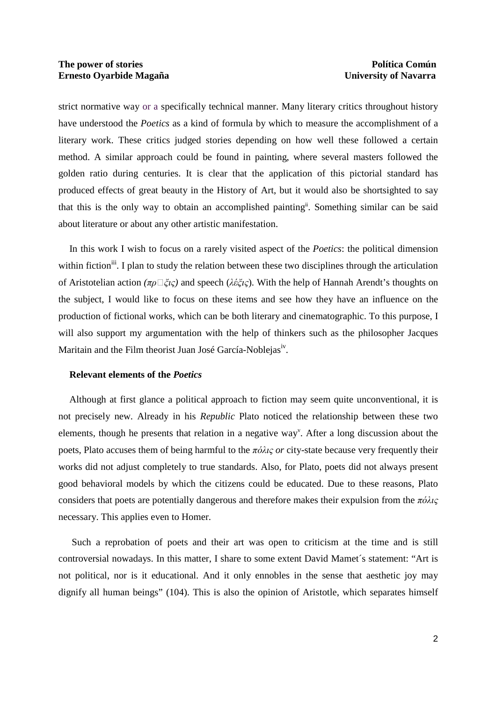strict normative way or a specifically technical manner. Many literary critics throughout history have understood the *Poetics* as a kind of formula by which to measure the accomplishment of a literary work. These critics judged stories depending on how well these followed a certain method. A similar approach could be found in painting, where several masters followed the golden ratio during centuries. It is clear that the application of this pictorial standard has produced effects of great beauty in the History of Art, but it would also be shortsighted to say that this is the only way to obtain an accomplished paintingii. Something similar can be said about literature or about any other artistic manifestation.

In this work I wish to focus on a rarely visited aspect of the *Poetics*: the political dimension within fiction<sup>iii</sup>. I plan to study the relation between these two disciplines through the articulation of Aristotelian action *(*πρᾶξις*)* and speech (λέξις). With the help of Hannah Arendt's thoughts on the subject, I would like to focus on these items and see how they have an influence on the production of fictional works, which can be both literary and cinematographic. To this purpose, I will also support my argumentation with the help of thinkers such as the philosopher Jacques Maritain and the Film theorist Juan José García-Noblejasiv.

#### **Relevant elements of the** *Poetics*

Although at first glance a political approach to fiction may seem quite unconventional, it is not precisely new. Already in his *Republic* Plato noticed the relationship between these two elements, though he presents that relation in a negative way<sup>v</sup>. After a long discussion about the poets, Plato accuses them of being harmful to the πόλις *or* city-state because very frequently their works did not adjust completely to true standards. Also, for Plato, poets did not always present good behavioral models by which the citizens could be educated. Due to these reasons, Plato considers that poets are potentially dangerous and therefore makes their expulsion from the  $\pi \delta \lambda \zeta$ necessary. This applies even to Homer.

 Such a reprobation of poets and their art was open to criticism at the time and is still controversial nowadays. In this matter, I share to some extent David Mamet´s statement: "Art is not political, nor is it educational. And it only ennobles in the sense that aesthetic joy may dignify all human beings" (104). This is also the opinion of Aristotle, which separates himself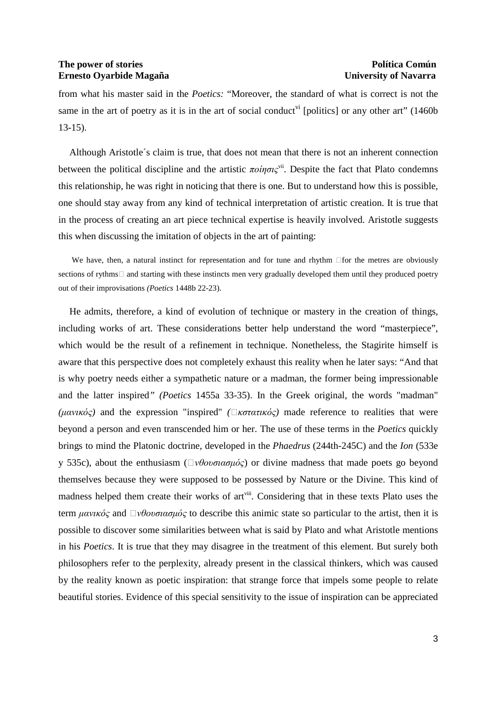from what his master said in the *Poetics:* "Moreover, the standard of what is correct is not the same in the art of poetry as it is in the art of social conduct<sup> $vi$ </sup> [politics] or any other art" (1460b) 13-15).

Although Aristotle´s claim is true, that does not mean that there is not an inherent connection between the political discipline and the artistic  $\pi o$ *ing* $\chi^{\text{vii}}$ . Despite the fact that Plato condemns this relationship, he was right in noticing that there is one. But to understand how this is possible, one should stay away from any kind of technical interpretation of artistic creation. It is true that in the process of creating an art piece technical expertise is heavily involved. Aristotle suggests this when discussing the imitation of objects in the art of painting:

We have, then, a natural instinct for representation and for tune and rhythm for the metres are obviously sections of rythms and starting with these instincts men very gradually developed them until they produced poetry out of their improvisations *(Poetics* 1448b 22-23).

He admits, therefore, a kind of evolution of technique or mastery in the creation of things, including works of art. These considerations better help understand the word "masterpiece", which would be the result of a refinement in technique. Nonetheless, the Stagirite himself is aware that this perspective does not completely exhaust this reality when he later says: "And that is why poetry needs either a sympathetic nature or a madman, the former being impressionable and the latter inspired*" (Poetics* 1455a 33-35). In the Greek original, the words "madman" *(μανικός)* and the expression "inspired" *(* $\Box$ *κστατικός)* made reference to realities that were beyond a person and even transcended him or her. The use of these terms in the *Poetics* quickly brings to mind the Platonic doctrine, developed in the *Phaedrus* (244th-245C) and the *Ion* (533e y 535c), about the enthusiasm ( $\Box$ νθουσιασμός) or divine madness that made poets go beyond themselves because they were supposed to be possessed by Nature or the Divine. This kind of madness helped them create their works of art<sup>viii</sup>. Considering that in these texts Plato uses the term  $\mu \alpha v \mu \dot{\alpha} \zeta$  and  $\Box \nu \theta \alpha \nu \alpha \sigma \mu \dot{\alpha} \zeta$  to describe this animic state so particular to the artist, then it is possible to discover some similarities between what is said by Plato and what Aristotle mentions in his *Poetics*. It is true that they may disagree in the treatment of this element. But surely both philosophers refer to the perplexity, already present in the classical thinkers, which was caused by the reality known as poetic inspiration: that strange force that impels some people to relate beautiful stories. Evidence of this special sensitivity to the issue of inspiration can be appreciated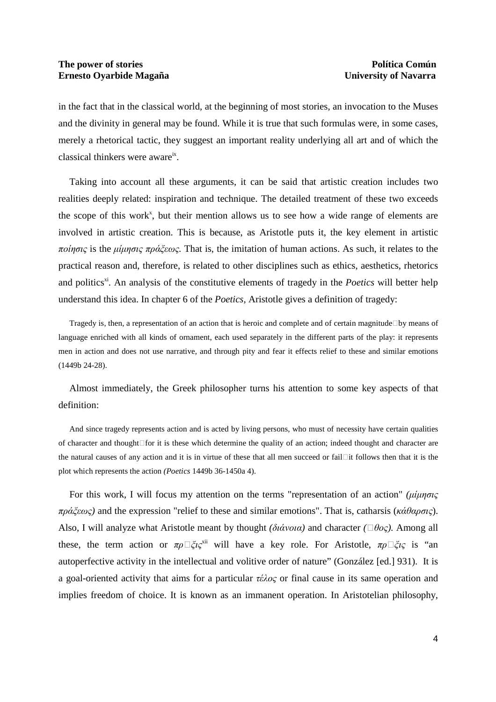in the fact that in the classical world, at the beginning of most stories, an invocation to the Muses and the divinity in general may be found. While it is true that such formulas were, in some cases, merely a rhetorical tactic, they suggest an important reality underlying all art and of which the classical thinkers were aware<sup>ix</sup>.

Taking into account all these arguments, it can be said that artistic creation includes two realities deeply related: inspiration and technique. The detailed treatment of these two exceeds the scope of this work<sup>x</sup>, but their mention allows us to see how a wide range of elements are involved in artistic creation. This is because, as Aristotle puts it, the key element in artistic ποίησις is the µίµησις πράξεως*.* That is, the imitation of human actions. As such, it relates to the practical reason and, therefore, is related to other disciplines such as ethics, aesthetics, rhetorics and politics<sup>xi</sup>. An analysis of the constitutive elements of tragedy in the *Poetics* will better help understand this idea. In chapter 6 of the *Poetics,* Aristotle gives a definition of tragedy:

Tragedy is, then, a representation of an action that is heroic and complete and of certain magnitude by means of language enriched with all kinds of ornament, each used separately in the different parts of the play: it represents men in action and does not use narrative, and through pity and fear it effects relief to these and similar emotions (1449b 24-28).

Almost immediately, the Greek philosopher turns his attention to some key aspects of that definition:

And since tragedy represents action and is acted by living persons, who must of necessity have certain qualities of character and thought for it is these which determine the quality of an action; indeed thought and character are the natural causes of any action and it is in virtue of these that all men succeed or fail it follows then that it is the plot which represents the action *(Poetics* 1449b 36-1450a 4).

For this work, I will focus my attention on the terms "representation of an action" *(*µίµησις πράξεως*)* and the expression "relief to these and similar emotions". That is, catharsis (κάθαρσις). Also, I will analyze what Aristotle meant by thought *(διάνοια)* and character *(*□θος). Among all these, the term action or  $\pi \rho \Box \xi i \zeta^{xii}$  will have a key role. For Aristotle,  $\pi \rho \Box \xi i \zeta$  is "an autoperfective activity in the intellectual and volitive order of nature" (González [ed.] 931). It is a goal-oriented activity that aims for a particular  $\tau \epsilon \lambda o \varsigma$  or final cause in its same operation and implies freedom of choice. It is known as an immanent operation. In Aristotelian philosophy,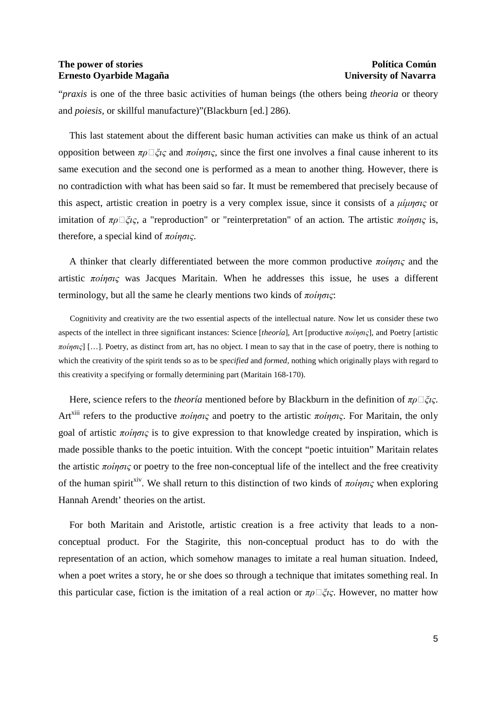"*praxis* is one of the three basic activities of human beings (the others being *theoria* or theory and *poiesis*, or skillful manufacture)"(Blackburn [ed.] 286).

This last statement about the different basic human activities can make us think of an actual opposition between  $πρ\Box ξις$  and  $πo$ *iησις*, since the first one involves a final cause inherent to its same execution and the second one is performed as a mean to another thing. However, there is no contradiction with what has been said so far. It must be remembered that precisely because of this aspect, artistic creation in poetry is a very complex issue, since it consists of a  $\mu\mu\eta\sigma\iota\varsigma$  or imitation of  $\pi \rho \Box \xi i \varsigma$ , a "reproduction" or "reinterpretation" of an action. The artistic  $\pi \rho \partial \eta \sigma \iota \varsigma$  is, therefore, a special kind of  $\pi o$ *ingic*.

A thinker that clearly differentiated between the more common productive  $\pi \omega \eta \sigma \zeta$  and the artistic  $\pi o$ *ingic* was Jacques Maritain. When he addresses this issue, he uses a different terminology, but all the same he clearly mentions two kinds of  $\pi o$ *ings*:

Cognitivity and creativity are the two essential aspects of the intellectual nature. Now let us consider these two aspects of the intellect in three significant instances: Science [*theoría*], Art [productive ποίησις], and Poetry [artistic  $\pi o$ *ingis* [[...]. Poetry, as distinct from art, has no object. I mean to say that in the case of poetry, there is nothing to which the creativity of the spirit tends so as to be *specified* and *formed,* nothing which originally plays with regard to this creativity a specifying or formally determining part (Maritain 168-170).

Here, science refers to the *theoría* mentioned before by Blackburn in the definition of  $\pi \rho \Box \xi \iota \varsigma$ . Art<sup>xiii</sup> refers to the productive ποίησις and poetry to the artistic ποίησις. For Maritain, the only goal of artistic  $\pi o$ *ingic* is to give expression to that knowledge created by inspiration, which is made possible thanks to the poetic intuition. With the concept "poetic intuition" Maritain relates the artistic  $\pi o$ *ingic* or poetry to the free non-conceptual life of the intellect and the free creativity of the human spirit<sup>xiv</sup>. We shall return to this distinction of two kinds of  $\pi o$ *inoi*<sub>c</sub> when exploring Hannah Arendt' theories on the artist.

For both Maritain and Aristotle, artistic creation is a free activity that leads to a nonconceptual product. For the Stagirite, this non-conceptual product has to do with the representation of an action, which somehow manages to imitate a real human situation. Indeed, when a poet writes a story, he or she does so through a technique that imitates something real. In this particular case, fiction is the imitation of a real action or  $\pi \rho \Box \xi \iota \varsigma$ . However, no matter how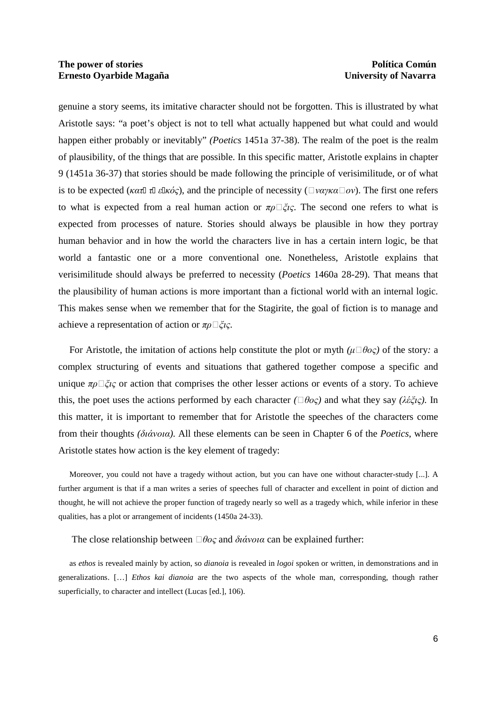genuine a story seems, its imitative character should not be forgotten. This is illustrated by what Aristotle says: "a poet's object is not to tell what actually happened but what could and would happen either probably or inevitably" *(Poetics* 1451a 37-38). The realm of the poet is the realm of plausibility, of the things that are possible. In this specific matter, Aristotle explains in chapter 9 (1451a 36-37) that stories should be made following the principle of verisimilitude, or of what is to be expected (κατ τ ε κός), and the principle of necessity ( $\Box$ ναγκα $\Box$ ον). The first one refers to what is expected from a real human action or  $\pi \rho \Box \zeta \chi c$ . The second one refers to what is expected from processes of nature. Stories should always be plausible in how they portray human behavior and in how the world the characters live in has a certain intern logic, be that world a fantastic one or a more conventional one. Nonetheless, Aristotle explains that verisimilitude should always be preferred to necessity (*Poetics* 1460a 28-29). That means that the plausibility of human actions is more important than a fictional world with an internal logic. This makes sense when we remember that for the Stagirite, the goal of fiction is to manage and achieve a representation of action or  $\pi \rho \Box \xi \iota \varsigma$ .

For Aristotle, the imitation of actions help constitute the plot or myth  $(\mu \Box \theta o \varsigma)$  of the story: a complex structuring of events and situations that gathered together compose a specific and unique  $\pi \rho \Box \xi \zeta$  or action that comprises the other lesser actions or events of a story. To achieve this, the poet uses the actions performed by each character  $(\Box \theta o \varsigma)$  and what they say  $(\lambda \xi \zeta \varsigma)$ . In this matter, it is important to remember that for Aristotle the speeches of the characters come from their thoughts *(*διάνοια*).* All these elements can be seen in Chapter 6 of the *Poetics*, where Aristotle states how action is the key element of tragedy:

Moreover, you could not have a tragedy without action, but you can have one without character-study [...]. A further argument is that if a man writes a series of speeches full of character and excellent in point of diction and thought, he will not achieve the proper function of tragedy nearly so well as a tragedy which, while inferior in these qualities, has a plot or arrangement of incidents (1450a 24-33).

The close relationship between  $\Box \theta o \varsigma$  and  $\delta u \dot{\alpha} v \circ a$  can be explained further:

as *ethos* is revealed mainly by action, so *dianoia* is revealed in *logoi* spoken or written, in demonstrations and in generalizations. […] *Ethos kai dianoia* are the two aspects of the whole man, corresponding, though rather superficially, to character and intellect (Lucas [ed.], 106).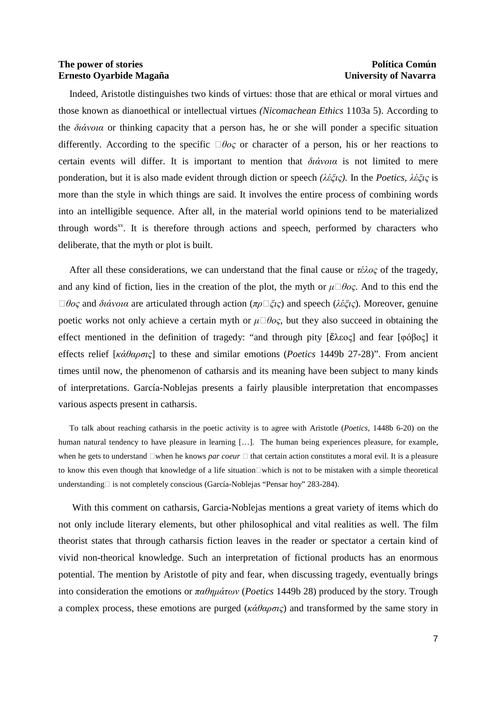Indeed, Aristotle distinguishes two kinds of virtues: those that are ethical or moral virtues and those known as dianoethical or intellectual virtues *(Nicomachean Ethics* 1103a 5). According to the  $\delta i \dot{\alpha}$  or thinking capacity that a person has, he or she will ponder a specific situation differently. According to the specific  $\Box \theta o \circ c$  character of a person, his or her reactions to certain events will differ. It is important to mention that διάνοια is not limited to mere ponderation, but it is also made evident through diction or speech *(*λέξις*).* In the *Poetics,* λέξις is more than the style in which things are said. It involves the entire process of combining words into an intelligible sequence. After all, in the material world opinions tend to be materialized through words $x^y$ . It is therefore through actions and speech, performed by characters who deliberate, that the myth or plot is built.

After all these considerations, we can understand that the final cause or  $\tau \epsilon \lambda o \varsigma$  of the tragedy, and any kind of fiction, lies in the creation of the plot, the myth or  $\mu \Box \theta o\varsigma$ . And to this end the  $\Box \theta$ ος and διάνοια are articulated through action (πρ $\Box \xi$ ις) and speech (λέξις). Moreover, genuine poetic works not only achieve a certain myth or  $\mu \Box \theta o c$ , but they also succeed in obtaining the effect mentioned in the definition of tragedy: "and through pity [ἔλεος] and fear [φόβος] it effects relief [κάθαρσις] to these and similar emotions (*Poetics* 1449b 27-28)". From ancient times until now, the phenomenon of catharsis and its meaning have been subject to many kinds of interpretations. García-Noblejas presents a fairly plausible interpretation that encompasses various aspects present in catharsis.

To talk about reaching catharsis in the poetic activity is to agree with Aristotle (*Poetics*, 1448b 6-20) on the human natural tendency to have pleasure in learning [...]. The human being experiences pleasure, for example, when he gets to understand when he knows *par coeur* that certain action constitutes a moral evil. It is a pleasure to know this even though that knowledge of a life situation which is not to be mistaken with a simple theoretical understanding is not completely conscious (García-Noblejas "Pensar hoy" 283-284).

With this comment on catharsis, Garcia-Noblejas mentions a great variety of items which do not only include literary elements, but other philosophical and vital realities as well. The film theorist states that through catharsis fiction leaves in the reader or spectator a certain kind of vivid non-theorical knowledge. Such an interpretation of fictional products has an enormous potential. The mention by Aristotle of pity and fear, when discussing tragedy, eventually brings into consideration the emotions or παθηµάτων (*Poetics* 1449b 28) produced by the story. Trough a complex process, these emotions are purged ( $\kappa \dot{\alpha} \theta \alpha \rho \sigma \zeta$ ) and transformed by the same story in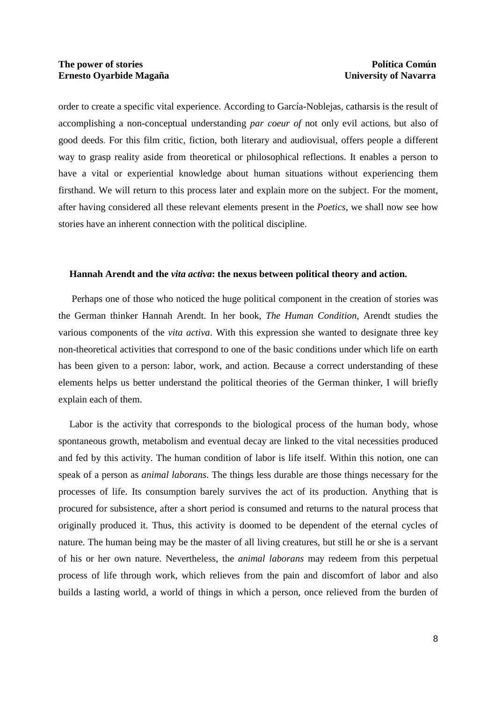order to create a specific vital experience. According to García-Noblejas, catharsis is the result of accomplishing a non-conceptual understanding *par coeur of* not only evil actions, but also of good deeds. For this film critic, fiction, both literary and audiovisual, offers people a different way to grasp reality aside from theoretical or philosophical reflections. It enables a person to have a vital or experiential knowledge about human situations without experiencing them firsthand. We will return to this process later and explain more on the subject. For the moment, after having considered all these relevant elements present in the *Poetics*, we shall now see how stories have an inherent connection with the political discipline.

#### **Hannah Arendt and the** *vita activa***: the nexus between political theory and action.**

 Perhaps one of those who noticed the huge political component in the creation of stories was the German thinker Hannah Arendt. In her book, *The Human Condition*, Arendt studies the various components of the *vita activa*. With this expression she wanted to designate three key non-theoretical activities that correspond to one of the basic conditions under which life on earth has been given to a person: labor, work, and action. Because a correct understanding of these elements helps us better understand the political theories of the German thinker, I will briefly explain each of them.

Labor is the activity that corresponds to the biological process of the human body, whose spontaneous growth, metabolism and eventual decay are linked to the vital necessities produced and fed by this activity. The human condition of labor is life itself. Within this notion, one can speak of a person as *animal laborans*. The things less durable are those things necessary for the processes of life. Its consumption barely survives the act of its production. Anything that is procured for subsistence, after a short period is consumed and returns to the natural process that originally produced it. Thus, this activity is doomed to be dependent of the eternal cycles of nature. The human being may be the master of all living creatures, but still he or she is a servant of his or her own nature. Nevertheless, the *animal laborans* may redeem from this perpetual process of life through work, which relieves from the pain and discomfort of labor and also builds a lasting world, a world of things in which a person, once relieved from the burden of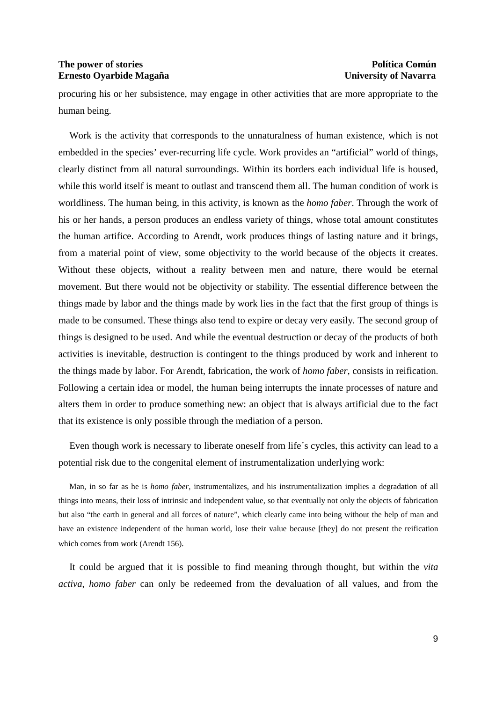procuring his or her subsistence, may engage in other activities that are more appropriate to the human being.

Work is the activity that corresponds to the unnaturalness of human existence, which is not embedded in the species' ever-recurring life cycle. Work provides an "artificial" world of things, clearly distinct from all natural surroundings. Within its borders each individual life is housed, while this world itself is meant to outlast and transcend them all. The human condition of work is worldliness. The human being, in this activity, is known as the *homo faber*. Through the work of his or her hands, a person produces an endless variety of things, whose total amount constitutes the human artifice. According to Arendt, work produces things of lasting nature and it brings, from a material point of view, some objectivity to the world because of the objects it creates. Without these objects, without a reality between men and nature, there would be eternal movement. But there would not be objectivity or stability. The essential difference between the things made by labor and the things made by work lies in the fact that the first group of things is made to be consumed. These things also tend to expire or decay very easily. The second group of things is designed to be used. And while the eventual destruction or decay of the products of both activities is inevitable, destruction is contingent to the things produced by work and inherent to the things made by labor. For Arendt, fabrication, the work of *homo faber,* consists in reification. Following a certain idea or model, the human being interrupts the innate processes of nature and alters them in order to produce something new: an object that is always artificial due to the fact that its existence is only possible through the mediation of a person.

Even though work is necessary to liberate oneself from life´s cycles, this activity can lead to a potential risk due to the congenital element of instrumentalization underlying work:

Man, in so far as he is *homo faber*, instrumentalizes, and his instrumentalization implies a degradation of all things into means, their loss of intrinsic and independent value, so that eventually not only the objects of fabrication but also "the earth in general and all forces of nature", which clearly came into being without the help of man and have an existence independent of the human world, lose their value because [they] do not present the reification which comes from work (Arendt 156).

It could be argued that it is possible to find meaning through thought, but within the *vita activa*, *homo faber* can only be redeemed from the devaluation of all values, and from the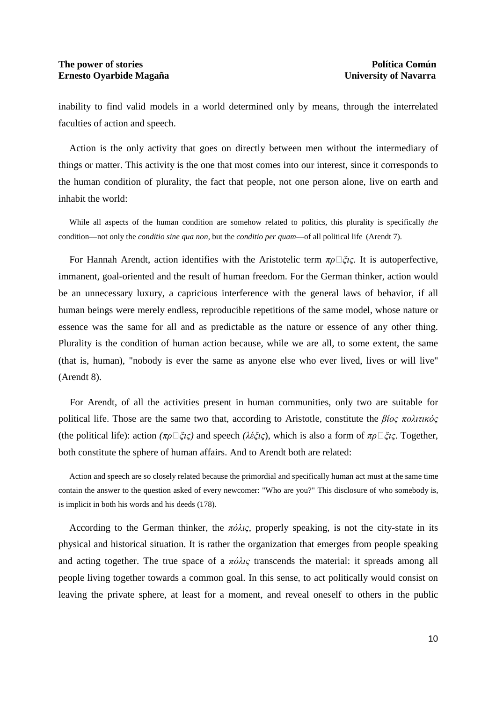inability to find valid models in a world determined only by means, through the interrelated faculties of action and speech.

Action is the only activity that goes on directly between men without the intermediary of things or matter. This activity is the one that most comes into our interest, since it corresponds to the human condition of plurality, the fact that people, not one person alone, live on earth and inhabit the world:

While all aspects of the human condition are somehow related to politics, this plurality is specifically *the* condition—not only the *conditio sine qua non*, but the *conditio per quam*—of all political life (Arendt 7).

For Hannah Arendt, action identifies with the Aristotelic term  $\pi \rho \Box \xi \iota \varsigma$ . It is autoperfective, immanent, goal-oriented and the result of human freedom. For the German thinker, action would be an unnecessary luxury, a capricious interference with the general laws of behavior, if all human beings were merely endless, reproducible repetitions of the same model, whose nature or essence was the same for all and as predictable as the nature or essence of any other thing. Plurality is the condition of human action because, while we are all, to some extent, the same (that is, human), "nobody is ever the same as anyone else who ever lived, lives or will live" (Arendt 8).

For Arendt, of all the activities present in human communities, only two are suitable for political life. Those are the same two that, according to Aristotle, constitute the βίος πολιτικός (the political life): action  $(\pi \rho \Box \xi \iota \varsigma)$  and speech  $(\lambda \xi \xi \iota \varsigma)$ , which is also a form of  $\pi \rho \Box \xi \iota \varsigma$ . Together, both constitute the sphere of human affairs. And to Arendt both are related:

Action and speech are so closely related because the primordial and specifically human act must at the same time contain the answer to the question asked of every newcomer: "Who are you?" This disclosure of who somebody is, is implicit in both his words and his deeds (178).

According to the German thinker, the πόλις*,* properly speaking, is not the city-state in its physical and historical situation. It is rather the organization that emerges from people speaking and acting together. The true space of a  $\pi \phi \lambda c$  transcends the material: it spreads among all people living together towards a common goal. In this sense, to act politically would consist on leaving the private sphere, at least for a moment, and reveal oneself to others in the public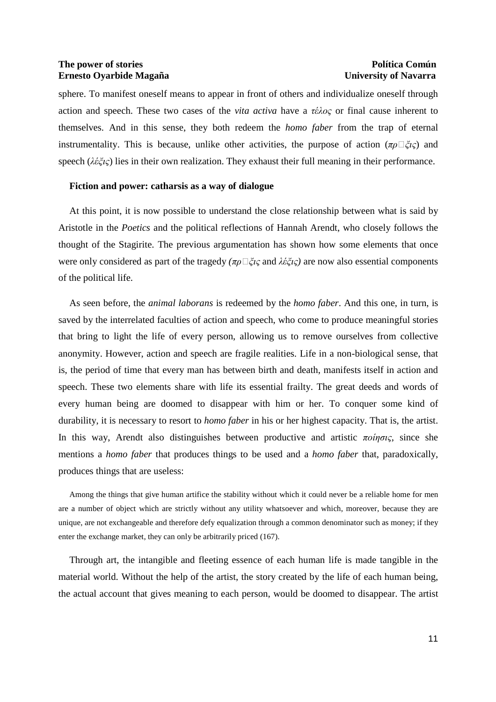sphere. To manifest oneself means to appear in front of others and individualize oneself through action and speech. These two cases of the *vita activa* have a τέλος or final cause inherent to themselves. And in this sense, they both redeem the *homo faber* from the trap of eternal instrumentality. This is because, unlike other activities, the purpose of action  $(\pi \rho \Box \xi \iota \zeta)$  and speech ( $\lambda \hat{\varepsilon} \zeta \hat{\varepsilon}$ ) lies in their own realization. They exhaust their full meaning in their performance.

#### **Fiction and power: catharsis as a way of dialogue**

At this point, it is now possible to understand the close relationship between what is said by Aristotle in the *Poetics* and the political reflections of Hannah Arendt, who closely follows the thought of the Stagirite. The previous argumentation has shown how some elements that once were only considered as part of the tragedy *(πρ*□*ξις* and λέξις) are now also essential components of the political life.

As seen before, the *animal laborans* is redeemed by the *homo faber*. And this one, in turn, is saved by the interrelated faculties of action and speech, who come to produce meaningful stories that bring to light the life of every person, allowing us to remove ourselves from collective anonymity. However, action and speech are fragile realities. Life in a non-biological sense, that is, the period of time that every man has between birth and death, manifests itself in action and speech. These two elements share with life its essential frailty. The great deeds and words of every human being are doomed to disappear with him or her. To conquer some kind of durability, it is necessary to resort to *homo faber* in his or her highest capacity. That is, the artist. In this way, Arendt also distinguishes between productive and artistic  $\pi o$ *ingic*, since she mentions a *homo faber* that produces things to be used and a *homo faber* that, paradoxically, produces things that are useless:

Among the things that give human artifice the stability without which it could never be a reliable home for men are a number of object which are strictly without any utility whatsoever and which, moreover, because they are unique, are not exchangeable and therefore defy equalization through a common denominator such as money; if they enter the exchange market, they can only be arbitrarily priced (167).

Through art, the intangible and fleeting essence of each human life is made tangible in the material world. Without the help of the artist, the story created by the life of each human being, the actual account that gives meaning to each person, would be doomed to disappear. The artist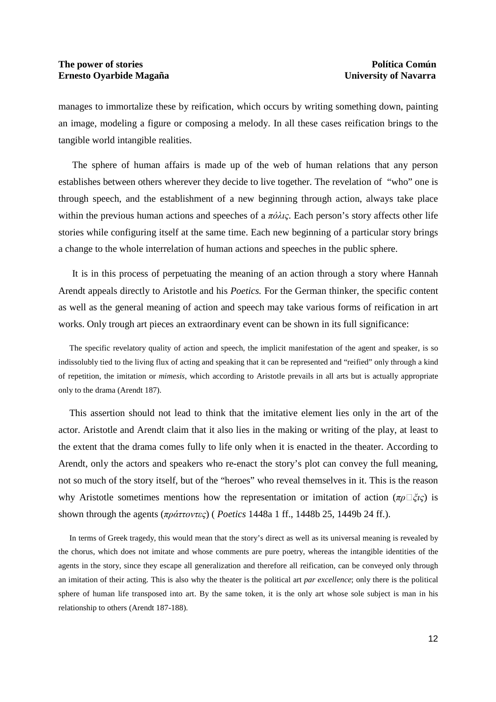manages to immortalize these by reification, which occurs by writing something down, painting an image, modeling a figure or composing a melody. In all these cases reification brings to the tangible world intangible realities.

The sphere of human affairs is made up of the web of human relations that any person establishes between others wherever they decide to live together. The revelation of "who" one is through speech, and the establishment of a new beginning through action, always take place within the previous human actions and speeches of a  $\pi \delta \lambda \iota \varsigma$ . Each person's story affects other life stories while configuring itself at the same time. Each new beginning of a particular story brings a change to the whole interrelation of human actions and speeches in the public sphere.

It is in this process of perpetuating the meaning of an action through a story where Hannah Arendt appeals directly to Aristotle and his *Poetics.* For the German thinker, the specific content as well as the general meaning of action and speech may take various forms of reification in art works. Only trough art pieces an extraordinary event can be shown in its full significance:

The specific revelatory quality of action and speech, the implicit manifestation of the agent and speaker, is so indissolubly tied to the living flux of acting and speaking that it can be represented and "reified" only through a kind of repetition, the imitation or *mimesis*, which according to Aristotle prevails in all arts but is actually appropriate only to the drama (Arendt 187).

This assertion should not lead to think that the imitative element lies only in the art of the actor. Aristotle and Arendt claim that it also lies in the making or writing of the play, at least to the extent that the drama comes fully to life only when it is enacted in the theater. According to Arendt, only the actors and speakers who re-enact the story's plot can convey the full meaning, not so much of the story itself, but of the "heroes" who reveal themselves in it. This is the reason why Aristotle sometimes mentions how the representation or imitation of action ( $\pi \rho \Box \xi$ ic) is shown through the agents (πράττοντες) ( *Poetics* 1448a 1 ff., 1448b 25, 1449b 24 ff.).

In terms of Greek tragedy, this would mean that the story's direct as well as its universal meaning is revealed by the chorus, which does not imitate and whose comments are pure poetry, whereas the intangible identities of the agents in the story, since they escape all generalization and therefore all reification, can be conveyed only through an imitation of their acting. This is also why the theater is the political art *par excellence*; only there is the political sphere of human life transposed into art. By the same token, it is the only art whose sole subject is man in his relationship to others (Arendt 187-188).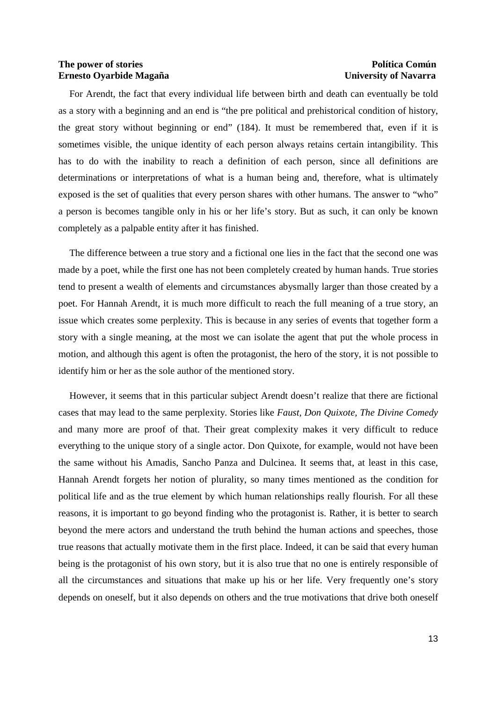For Arendt, the fact that every individual life between birth and death can eventually be told as a story with a beginning and an end is "the pre political and prehistorical condition of history, the great story without beginning or end" (184). It must be remembered that, even if it is sometimes visible, the unique identity of each person always retains certain intangibility. This has to do with the inability to reach a definition of each person, since all definitions are determinations or interpretations of what is a human being and, therefore, what is ultimately exposed is the set of qualities that every person shares with other humans. The answer to "who" a person is becomes tangible only in his or her life's story. But as such, it can only be known completely as a palpable entity after it has finished.

The difference between a true story and a fictional one lies in the fact that the second one was made by a poet, while the first one has not been completely created by human hands. True stories tend to present a wealth of elements and circumstances abysmally larger than those created by a poet. For Hannah Arendt, it is much more difficult to reach the full meaning of a true story, an issue which creates some perplexity. This is because in any series of events that together form a story with a single meaning, at the most we can isolate the agent that put the whole process in motion, and although this agent is often the protagonist, the hero of the story, it is not possible to identify him or her as the sole author of the mentioned story.

However, it seems that in this particular subject Arendt doesn't realize that there are fictional cases that may lead to the same perplexity. Stories like *Faust, Don Quixote, The Divine Comedy* and many more are proof of that. Their great complexity makes it very difficult to reduce everything to the unique story of a single actor. Don Quixote, for example, would not have been the same without his Amadis, Sancho Panza and Dulcinea. It seems that, at least in this case, Hannah Arendt forgets her notion of plurality, so many times mentioned as the condition for political life and as the true element by which human relationships really flourish. For all these reasons, it is important to go beyond finding who the protagonist is. Rather, it is better to search beyond the mere actors and understand the truth behind the human actions and speeches, those true reasons that actually motivate them in the first place. Indeed, it can be said that every human being is the protagonist of his own story, but it is also true that no one is entirely responsible of all the circumstances and situations that make up his or her life. Very frequently one's story depends on oneself, but it also depends on others and the true motivations that drive both oneself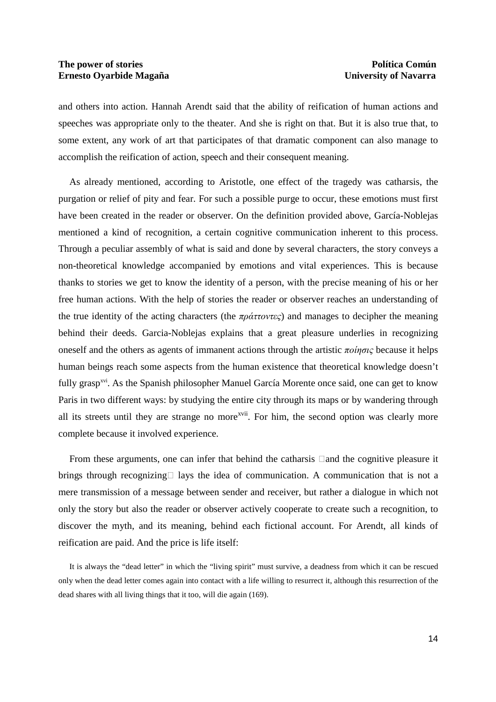and others into action. Hannah Arendt said that the ability of reification of human actions and speeches was appropriate only to the theater. And she is right on that. But it is also true that, to some extent, any work of art that participates of that dramatic component can also manage to accomplish the reification of action, speech and their consequent meaning.

As already mentioned, according to Aristotle, one effect of the tragedy was catharsis, the purgation or relief of pity and fear. For such a possible purge to occur, these emotions must first have been created in the reader or observer. On the definition provided above, García-Noblejas mentioned a kind of recognition, a certain cognitive communication inherent to this process. Through a peculiar assembly of what is said and done by several characters, the story conveys a non-theoretical knowledge accompanied by emotions and vital experiences. This is because thanks to stories we get to know the identity of a person, with the precise meaning of his or her free human actions. With the help of stories the reader or observer reaches an understanding of the true identity of the acting characters (the  $\pi \rho \dot{\alpha} \tau \dot{\alpha}$ ) and manages to decipher the meaning behind their deeds. Garcia-Noblejas explains that a great pleasure underlies in recognizing oneself and the others as agents of immanent actions through the artistic  $\pi o$ *ingic* because it helps human beings reach some aspects from the human existence that theoretical knowledge doesn't fully grasp<sup>xvi</sup>. As the Spanish philosopher Manuel García Morente once said, one can get to know Paris in two different ways: by studying the entire city through its maps or by wandering through all its streets until they are strange no more<sup>xvii</sup>. For him, the second option was clearly more complete because it involved experience.

From these arguments, one can infer that behind the catharsis and the cognitive pleasure it brings through recognizing lays the idea of communication. A communication that is not a mere transmission of a message between sender and receiver, but rather a dialogue in which not only the story but also the reader or observer actively cooperate to create such a recognition, to discover the myth, and its meaning, behind each fictional account. For Arendt, all kinds of reification are paid. And the price is life itself:

It is always the "dead letter" in which the "living spirit" must survive, a deadness from which it can be rescued only when the dead letter comes again into contact with a life willing to resurrect it, although this resurrection of the dead shares with all living things that it too, will die again (169).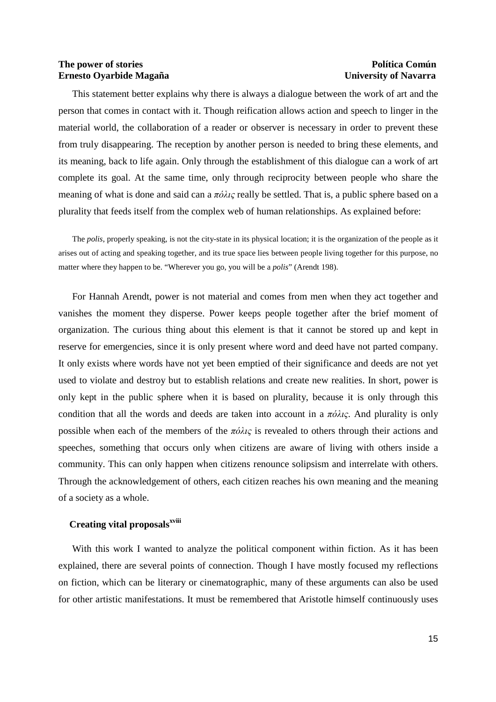This statement better explains why there is always a dialogue between the work of art and the person that comes in contact with it. Though reification allows action and speech to linger in the material world, the collaboration of a reader or observer is necessary in order to prevent these from truly disappearing. The reception by another person is needed to bring these elements, and its meaning, back to life again. Only through the establishment of this dialogue can a work of art complete its goal. At the same time, only through reciprocity between people who share the meaning of what is done and said can a  $\pi \delta \lambda \iota \varsigma$  really be settled. That is, a public sphere based on a plurality that feeds itself from the complex web of human relationships. As explained before:

The *polis*, properly speaking, is not the city-state in its physical location; it is the organization of the people as it arises out of acting and speaking together, and its true space lies between people living together for this purpose, no matter where they happen to be. "Wherever you go, you will be a *polis*" (Arendt 198).

For Hannah Arendt, power is not material and comes from men when they act together and vanishes the moment they disperse. Power keeps people together after the brief moment of organization. The curious thing about this element is that it cannot be stored up and kept in reserve for emergencies, since it is only present where word and deed have not parted company. It only exists where words have not yet been emptied of their significance and deeds are not yet used to violate and destroy but to establish relations and create new realities. In short, power is only kept in the public sphere when it is based on plurality, because it is only through this condition that all the words and deeds are taken into account in a  $\pi \phi \lambda \iota \zeta$ . And plurality is only possible when each of the members of the  $\pi \acute{o} \lambda \iota \varsigma$  is revealed to others through their actions and speeches, something that occurs only when citizens are aware of living with others inside a community. This can only happen when citizens renounce solipsism and interrelate with others. Through the acknowledgement of others, each citizen reaches his own meaning and the meaning of a society as a whole.

# **Creating vital proposalsxviii**

With this work I wanted to analyze the political component within fiction. As it has been explained, there are several points of connection. Though I have mostly focused my reflections on fiction, which can be literary or cinematographic, many of these arguments can also be used for other artistic manifestations. It must be remembered that Aristotle himself continuously uses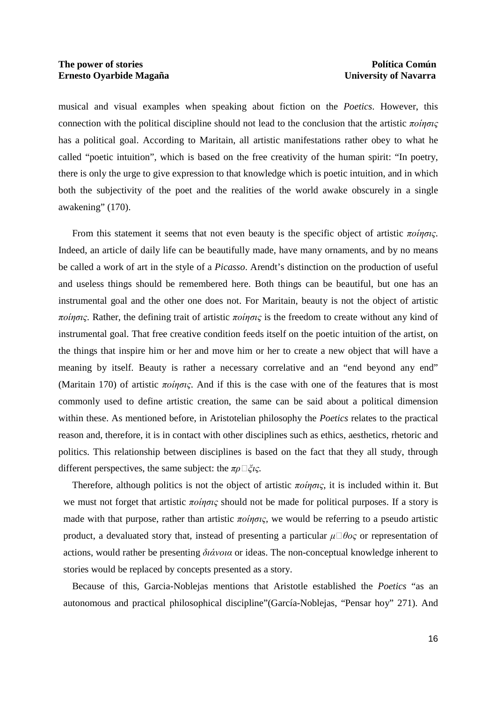musical and visual examples when speaking about fiction on the *Poetics*. However, this connection with the political discipline should not lead to the conclusion that the artistic ποίησις has a political goal. According to Maritain, all artistic manifestations rather obey to what he called "poetic intuition", which is based on the free creativity of the human spirit: "In poetry, there is only the urge to give expression to that knowledge which is poetic intuition, and in which both the subjectivity of the poet and the realities of the world awake obscurely in a single awakening" (170).

From this statement it seems that not even beauty is the specific object of artistic  $\pi o$ *ingic*. Indeed, an article of daily life can be beautifully made, have many ornaments, and by no means be called a work of art in the style of a *Picasso*. Arendt's distinction on the production of useful and useless things should be remembered here. Both things can be beautiful, but one has an instrumental goal and the other one does not. For Maritain, beauty is not the object of artistic ποίησις. Rather, the defining trait of artistic ποίησις is the freedom to create without any kind of instrumental goal. That free creative condition feeds itself on the poetic intuition of the artist, on the things that inspire him or her and move him or her to create a new object that will have a meaning by itself. Beauty is rather a necessary correlative and an "end beyond any end" (Maritain 170) of artistic  $\pi \circ i\eta \circ i\zeta$ . And if this is the case with one of the features that is most commonly used to define artistic creation, the same can be said about a political dimension within these. As mentioned before, in Aristotelian philosophy the *Poetics* relates to the practical reason and, therefore, it is in contact with other disciplines such as ethics, aesthetics, rhetoric and politics. This relationship between disciplines is based on the fact that they all study, through different perspectives, the same subject: the πρ $\Box \xi$ *ις*.

Therefore, although politics is not the object of artistic ποίησις*,* it is included within it. But we must not forget that artistic  $\pi o$ *ingic* should not be made for political purposes. If a story is made with that purpose, rather than artistic ποίησις*,* we would be referring to a pseudo artistic product, a devaluated story that, instead of presenting a particular  $\mu \Box \theta o \varsigma$  or representation of actions, would rather be presenting  $\delta i \dot{\alpha} v \circ \alpha$  or ideas. The non-conceptual knowledge inherent to stories would be replaced by concepts presented as a story.

Because of this, Garcia-Noblejas mentions that Aristotle established the *Poetics* "as an autonomous and practical philosophical discipline"(García-Noblejas, "Pensar hoy" 271). And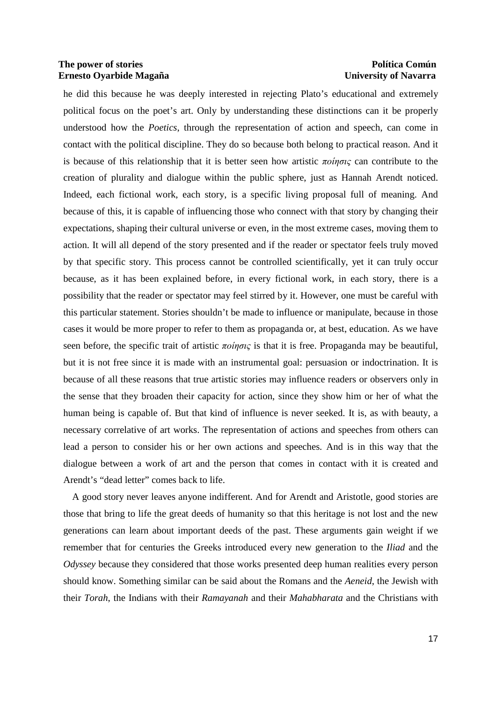he did this because he was deeply interested in rejecting Plato's educational and extremely political focus on the poet's art. Only by understanding these distinctions can it be properly understood how the *Poetics*, through the representation of action and speech, can come in contact with the political discipline. They do so because both belong to practical reason. And it is because of this relationship that it is better seen how artistic  $\pi o$ *ingic* can contribute to the creation of plurality and dialogue within the public sphere, just as Hannah Arendt noticed. Indeed, each fictional work, each story, is a specific living proposal full of meaning. And because of this, it is capable of influencing those who connect with that story by changing their expectations, shaping their cultural universe or even, in the most extreme cases, moving them to action. It will all depend of the story presented and if the reader or spectator feels truly moved by that specific story. This process cannot be controlled scientifically, yet it can truly occur because, as it has been explained before, in every fictional work, in each story, there is a possibility that the reader or spectator may feel stirred by it. However, one must be careful with this particular statement. Stories shouldn't be made to influence or manipulate, because in those cases it would be more proper to refer to them as propaganda or, at best, education. As we have seen before, the specific trait of artistic ποίησις is that it is free. Propaganda may be beautiful, but it is not free since it is made with an instrumental goal: persuasion or indoctrination. It is because of all these reasons that true artistic stories may influence readers or observers only in the sense that they broaden their capacity for action, since they show him or her of what the human being is capable of. But that kind of influence is never seeked. It is, as with beauty, a necessary correlative of art works. The representation of actions and speeches from others can lead a person to consider his or her own actions and speeches. And is in this way that the dialogue between a work of art and the person that comes in contact with it is created and Arendt's "dead letter" comes back to life.

A good story never leaves anyone indifferent. And for Arendt and Aristotle, good stories are those that bring to life the great deeds of humanity so that this heritage is not lost and the new generations can learn about important deeds of the past. These arguments gain weight if we remember that for centuries the Greeks introduced every new generation to the *Iliad* and the *Odyssey* because they considered that those works presented deep human realities every person should know. Something similar can be said about the Romans and the *Aeneid*, the Jewish with their *Torah*, the Indians with their *Ramayanah* and their *Mahabharata* and the Christians with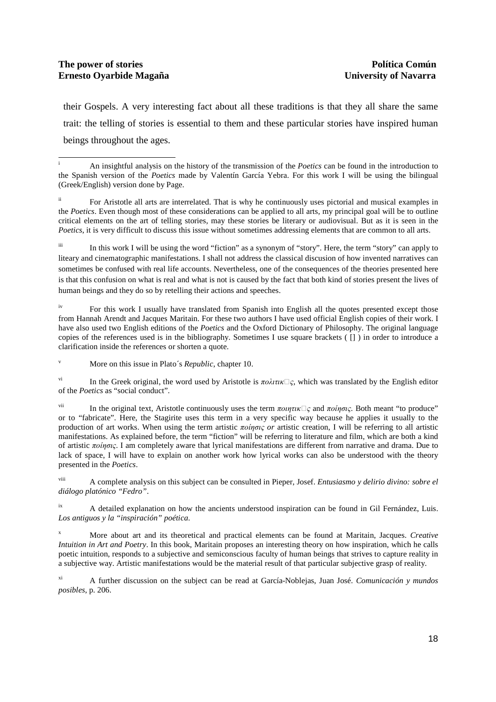their Gospels. A very interesting fact about all these traditions is that they all share the same trait: the telling of stories is essential to them and these particular stories have inspired human beings throughout the ages.

iii In this work I will be using the word "fiction" as a synonym of "story". Here, the term "story" can apply to liteary and cinematographic manifestations. I shall not address the classical discusion of how invented narratives can sometimes be confused with real life accounts. Nevertheless, one of the consequences of the theories presented here is that this confusion on what is real and what is not is caused by the fact that both kind of stories present the lives of human beings and they do so by retelling their actions and speeches.

For this work I usually have translated from Spanish into English all the quotes presented except those from Hannah Arendt and Jacques Maritain. For these two authors I have used official English copies of their work. I have also used two English editions of the *Poetics* and the Oxford Dictionary of Philosophy. The original language copies of the references used is in the bibliography. Sometimes I use square brackets ( [] ) in order to introduce a clarification inside the references or shorten a quote.

v More on this issue in Plato´s *Republic*, chapter 10.

In the Greek original, the word used by Aristotle is  $\pi \omega \lambda \pi \kappa \Box c$ , which was translated by the English editor of the *Poetics* as "social conduct".

In the original text, Aristotle continuously uses the term  $\pi o \eta \pi \mu \Box \varsigma$  and  $\pi o \eta \sigma \chi$ . Both meant "to produce" or to "fabricate". Here, the Stagirite uses this term in a very specific way because he applies it usually to the production of art works. When using the term artistic ποίησις *or* artistic creation, I will be referring to all artistic manifestations. As explained before, the term "fiction" will be referring to literature and film, which are both a kind of artistic ποίησις. I am completely aware that lyrical manifestations are different from narrative and drama. Due to lack of space, I will have to explain on another work how lyrical works can also be understood with the theory presented in the *Poetics*.

viii A complete analysis on this subject can be consulted in Pieper, Josef. *Entusiasmo y delirio divino: sobre el diálogo platónico "Fedro"*.

<sup>ix</sup> A detailed explanation on how the ancients understood inspiration can be found in Gil Fernández, Luis. *Los antiguos y la "inspiración" poética*.

x More about art and its theoretical and practical elements can be found at Maritain, Jacques. *Creative Intuition in Art and Poetry*. In this book, Maritain proposes an interesting theory on how inspiration, which he calls poetic intuition, responds to a subjective and semiconscious faculty of human beings that strives to capture reality in a subjective way. Artistic manifestations would be the material result of that particular subjective grasp of reality.

xi A further discussion on the subject can be read at García-Noblejas, Juan José. *Comunicación y mundos posibles*, p. 206.

<sup>1</sup> i An insightful analysis on the history of the transmission of the *Poetics* can be found in the introduction to the Spanish version of the *Poetics* made by Valentín García Yebra. For this work I will be using the bilingual (Greek/English) version done by Page.

For Aristotle all arts are interrelated. That is why he continuously uses pictorial and musical examples in the *Poetics*. Even though most of these considerations can be applied to all arts, my principal goal will be to outline critical elements on the art of telling stories, may these stories be literary or audiovisual. But as it is seen in the *Poetics*, it is very difficult to discuss this issue without sometimes addressing elements that are common to all arts.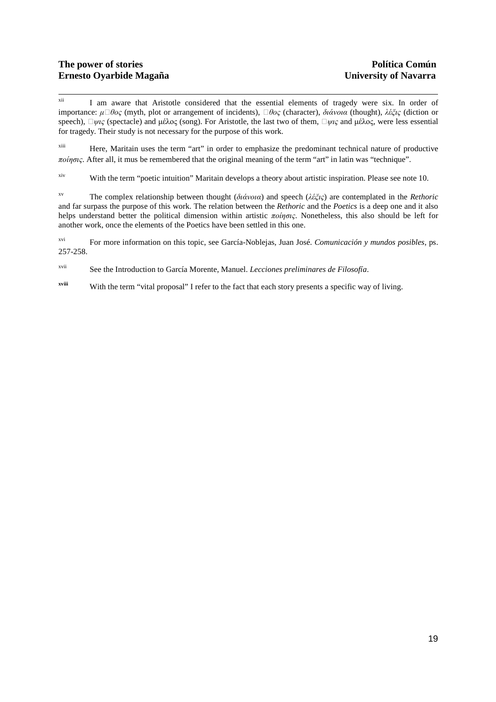$xii$ I am aware that Aristotle considered that the essential elements of tragedy were six. In order of importance:  $\mu \Box \theta o_S$  (myth, plot or arrangement of incidents),  $\Box \theta o_S$  (character), διάνοια (thought), λέξις (diction or speech),  $\Box \psi \iota_S$  (spectacle) and μέλος (song). For Aristotle, the last two of them,  $\Box \psi \iota_S$  and μέλος, were less essential for tragedy. Their study is not necessary for the purpose of this work.

xiii Here, Maritain uses the term "art" in order to emphasize the predominant technical nature of productive ποίησις. After all, it mus be remembered that the original meaning of the term "art" in latin was "technique".

xiv With the term "poetic intuition" Maritain develops a theory about artistic inspiration. Please see note 10.

xv The complex relationship between thought (διάνοια) and speech (λέξις) are contemplated in the *Rethoric* and far surpass the purpose of this work. The relation between the *Rethoric* and the *Poetics* is a deep one and it also helps understand better the political dimension within artistic ποίησις. Nonetheless, this also should be left for another work, once the elements of the Poetics have been settled in this one.

xvi For more information on this topic, see García-Noblejas, Juan José. *Comunicación y mundos posibles*, ps. 257-258.

xvii See the Introduction to García Morente, Manuel. *Lecciones preliminares de Filosofía*.

**xviii** With the term "vital proposal" I refer to the fact that each story presents a specific way of living.